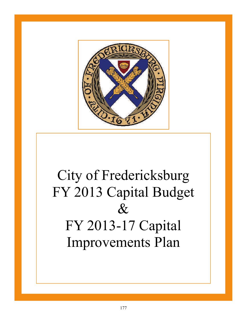

## City of Fredericksburg FY 2013 Capital Budget & FY 2013-17 Capital Improvements Plan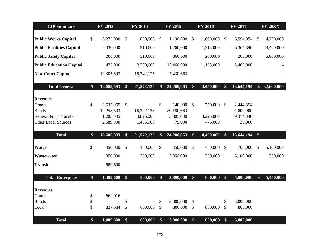| <b>CIP Summary</b>               |                   | FY 2013    |                   | <b>FY 2014</b> |                   | FY 2015    |                   | <b>FY 2016</b> |                           | <b>FY 2017</b> |               | <b>FY 20XX</b> |
|----------------------------------|-------------------|------------|-------------------|----------------|-------------------|------------|-------------------|----------------|---------------------------|----------------|---------------|----------------|
| <b>Public Works Capital</b>      | $\mathcal{S}$     | 3,275,000  | $\mathbb{S}$      | 1,050,000      | $\mathcal{S}$     | 1,190,000  | $\mathcal{S}$     | 1,800,000      | $\mathbb{S}$              | 5,594,854      | $\mathcal{S}$ | 4,200,000      |
|                                  |                   |            |                   |                |                   |            |                   |                |                           |                |               |                |
| <b>Public Facilities Capital</b> |                   | 2,430,000  |                   | 910,000        |                   | 1,260,000  |                   | 1,315,000      |                           | 5,364,340      |               | 23,460,000     |
| <b>Public Safety Capital</b>     |                   | 200,000    |                   | 510,000        |                   | 860,000    |                   | 200,000        |                           | 200,000        |               | 5,000,000      |
| <b>Public Education Capital</b>  |                   | 475,000    |                   | 2,760,000      |                   | 13,460,000 |                   | 1,135,000      |                           | 2,485,000      |               |                |
| <b>New Court Capital</b>         |                   | 12,305,693 |                   | 16,342,125     |                   | 7,430,663  |                   |                |                           |                |               |                |
| <b>Total General</b>             | $\$\$             | 18,685,693 | $\boldsymbol{\$}$ | 21,572,125     | $\boldsymbol{\$}$ | 24,200,663 | $\boldsymbol{\$}$ | 4,450,000      | \$                        | 13,644,194     | $\mathbf{\$}$ | 32,660,000     |
| <b>Revenues</b>                  |                   |            |                   |                |                   |            |                   |                |                           |                |               |                |
| <b>Grants</b>                    | \$                | 2,635,955  | $\sqrt$           |                | $\mathcal{S}$     | 140,000    | $\mathcal{S}$     | 750,000        | $\boldsymbol{\mathsf{S}}$ | 2,444,854      |               |                |
| <b>Bonds</b>                     |                   | 12,255,693 |                   | 16,292,125     |                   | 20,180,663 |                   |                |                           | 1,800,000      |               |                |
| <b>General Fund Transfer</b>     |                   | 1,205,045  |                   | 3,825,000      |                   | 3,805,000  |                   | 3,225,000      |                           | 9,374,340      |               |                |
| <b>Other Local Sources</b>       |                   | 2,589,000  |                   | 1,455,000      |                   | 75,000     |                   | 475,000        |                           | 25,000         |               |                |
| <b>Total</b>                     | $\$\$             | 18,685,693 | \$                | 21,572,125     | \$                | 24,200,663 | \$                | 4,450,000      | \$                        | 13,644,194     | \$            |                |
| Water                            | \$                | 450,000    | $\mathcal{S}$     | 450,000        | $\mathcal{S}$     | 450,000    | $\mathcal{S}$     | 450,000        | $\mathcal{S}$             | 700,000        | \$            | 5,100,000      |
| Wastewater                       |                   | 350,000    |                   | 350,000        |                   | 3,350,000  |                   | 350,000        |                           | 5,100,000      |               | 350,000        |
| <b>Transit</b>                   |                   | 689,600    |                   |                |                   |            |                   |                |                           |                |               |                |
| <b>Total Enterprise</b>          | $\boldsymbol{\$}$ | 1,489,600  | $\mathbf{\$}$     | 800,000        | \$                | 3,800,000  | $\$\$             | 800,000        | \$                        | 5,800,000      | $\mathbf{\$}$ | 5,450,000      |
| <b>Revenues</b>                  |                   |            |                   |                |                   |            |                   |                |                           |                |               |                |
| Grants                           | \$                | 662,016    |                   |                |                   |            |                   |                |                           |                |               |                |
| <b>Bonds</b>                     | \$                |            | \$                |                | \$                | 3,000,000  | $\mathcal{S}$     |                | \$                        | 5,000,000      |               |                |
| Local                            | \$                | 827,584    | \$                | 800,000        | $\mathsf{\$}$     | 800,000    | $\mathcal{S}$     | 800,000        | $\mathcal{S}$             | 800,000        |               |                |
| <b>Total</b>                     | $\$\$             | 1,489,600  | \$                | 800,000        | \$                | 3,800,000  | \$                | 800,000        | \$                        | 5,800,000      |               |                |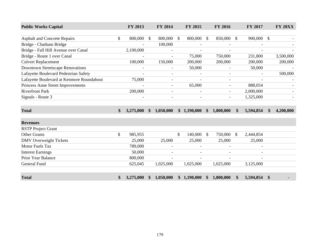| <b>Public Works Capital</b>               |               | FY 2013                  |               | FY 2014                  | FY 2015                  |               | FY 2016                  |               | FY 2017   |                   | <b>FY 20XX</b> |
|-------------------------------------------|---------------|--------------------------|---------------|--------------------------|--------------------------|---------------|--------------------------|---------------|-----------|-------------------|----------------|
|                                           |               |                          |               |                          |                          |               |                          |               |           |                   |                |
| <b>Asphalt and Concrete Repairs</b>       | \$            | 800,000                  | \$            | 800,000                  | \$<br>800,000            | $\mathcal{S}$ | 850,000                  | $\mathbb{S}$  | 900,000   | $\mathbb{S}$      |                |
| Bridge - Chatham Bridge                   |               |                          |               | 100,000                  |                          |               |                          |               |           |                   |                |
| Bridge - Fall Hill Avenue over Canal      |               | 2,100,000                |               | $\overline{\phantom{a}}$ |                          |               |                          |               |           |                   |                |
| Bridge - Route 1 over Canal               |               |                          |               | $\overline{a}$           | 75,000                   |               | 750,000                  |               | 231,800   |                   | 3,500,000      |
| <b>Culvert Replacement</b>                |               | 100,000                  |               | 150,000                  | 200,000                  |               | 200,000                  |               | 200,000   |                   | 200,000        |
| <b>Downtown Streetscape Renovations</b>   |               | $\overline{\phantom{a}}$ |               | $\overline{\phantom{a}}$ | 50,000                   |               | $\overline{\phantom{a}}$ |               | 50,000    |                   |                |
| Lafayette Boulevard Pedestrian Safety     |               | $\overline{\phantom{a}}$ |               | $\overline{\phantom{a}}$ |                          |               | $\overline{\phantom{a}}$ |               |           |                   | 500,000        |
| Lafayette Boulevard at Kenmore Roundabout |               | 75,000                   |               | $\overline{\phantom{a}}$ |                          |               | $\overline{\phantom{a}}$ |               |           |                   |                |
| Princess Anne Street Improvements         |               |                          |               | $\blacksquare$           | 65,000                   |               |                          |               | 888,054   |                   |                |
| <b>Riverfront Park</b>                    |               | 200,000                  |               | $\overline{\phantom{a}}$ |                          |               | $\overline{\phantom{a}}$ |               | 2,000,000 |                   |                |
| Signals - Route 3                         |               | $\overline{\phantom{a}}$ |               | $\overline{\phantom{a}}$ |                          |               | $\overline{\phantom{a}}$ |               | 1,325,000 |                   |                |
|                                           |               |                          |               |                          |                          |               |                          |               |           |                   |                |
| <b>Total</b>                              | $\mathbf{\$}$ | 3,275,000                | $\mathbf{\$}$ | 1,050,000                | \$1,190,000              | $\mathbf{\$}$ | 1,800,000                | <sup>\$</sup> | 5,594,854 | \$                | 4,200,000      |
| <b>Revenues</b>                           |               |                          |               |                          |                          |               |                          |               |           |                   |                |
| <b>RSTP</b> Project Grant                 |               |                          |               |                          |                          |               |                          |               |           |                   |                |
| <b>Other Grants</b>                       | \$            | 985,955                  |               |                          | \$<br>140,000            | $\mathcal{S}$ | 750,000                  | $\mathbb{S}$  | 2,444,854 |                   |                |
| <b>DMV</b> Overweight Tickets             |               | 25,000                   |               | 25,000                   | 25,000                   |               | 25,000                   |               | 25,000    |                   |                |
| <b>Motor Fuels Tax</b>                    |               | 789,000                  |               |                          |                          |               |                          |               |           |                   |                |
| <b>Interest Earnings</b>                  |               | 50,000                   |               |                          |                          |               |                          |               |           |                   |                |
| Prior Year Balance                        |               | 800,000                  |               | $\overline{\phantom{a}}$ | $\overline{\phantom{a}}$ |               |                          |               |           |                   |                |
| <b>General Fund</b>                       |               | 625,045                  |               | 1,025,000                | 1,025,000                |               | 1,025,000                |               | 3,125,000 |                   |                |
| <b>Total</b>                              | \$            | 3,275,000                | \$            | 1,050,000                | \$1,190,000              | <b>S</b>      | 1,800,000                | \$            | 5,594,854 | $\boldsymbol{\$}$ |                |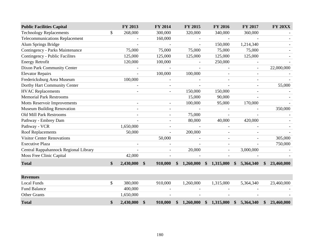| <b>Public Facilities Capital</b>       |               | FY 2013      |                   | FY 2014                  |               | FY 2015                  |               | <b>FY 2016</b>           |               | FY 2017                  |               | <b>FY 20XX</b> |
|----------------------------------------|---------------|--------------|-------------------|--------------------------|---------------|--------------------------|---------------|--------------------------|---------------|--------------------------|---------------|----------------|
| <b>Technology Replacements</b>         | \$            | 268,000      |                   | 300,000                  |               | 320,000                  |               | 340,000                  |               | 360,000                  |               |                |
| <b>Telecommunications Replacement</b>  |               |              |                   | 160,000                  |               |                          |               | $\blacksquare$           |               |                          |               |                |
| Alum Springs Bridge                    |               |              |                   | $\overline{a}$           |               |                          |               | 150,000                  |               | 1,214,340                |               |                |
| <b>Contingency - Parks Maintenance</b> |               | 75,000       |                   | 75,000                   |               | 75,000                   |               | 75,000                   |               | 75,000                   |               |                |
| Contingency - Public Facilites         |               | 125,000      |                   | 125,000                  |               | 125,000                  |               | 125,000                  |               | 125,000                  |               |                |
| <b>Energy Retrofit</b>                 |               | 120,000      |                   | 100,000                  |               |                          |               | 250,000                  |               |                          |               |                |
| Dixon Park Community Center            |               |              |                   | $\overline{\phantom{a}}$ |               | $\overline{\phantom{a}}$ |               |                          |               | $\overline{\phantom{a}}$ |               | 22,000,000     |
| <b>Elevator Repairs</b>                |               |              |                   | 100,000                  |               | 100,000                  |               |                          |               |                          |               |                |
| Fredericksburg Area Museum             |               | 100,000      |                   |                          |               |                          |               |                          |               |                          |               |                |
| Dorthy Hart Community Center           |               |              |                   |                          |               |                          |               |                          |               |                          |               | 55,000         |
| <b>HVAC Replacements</b>               |               |              |                   |                          |               | 150,000                  |               | 150,000                  |               |                          |               |                |
| <b>Memorial Park Restrooms</b>         |               |              |                   |                          |               | 15,000                   |               | 90,000                   |               | $\blacksquare$           |               |                |
| <b>Motts Reservoir Improvements</b>    |               |              |                   |                          |               | 100,000                  |               | 95,000                   |               | 170,000                  |               |                |
| <b>Museum Building Renovation</b>      |               |              |                   |                          |               |                          |               |                          |               |                          |               | 350,000        |
| Old Mill Park Restrooms                |               |              |                   |                          |               | 75,000                   |               |                          |               |                          |               |                |
| Pathway - Embrey Dam                   |               |              |                   |                          |               | 80,000                   |               | 40,000                   |               | 420,000                  |               |                |
| Pathway - VCR                          |               | 1,650,000    |                   | $\overline{\phantom{a}}$ |               | $\overline{\phantom{a}}$ |               | $\overline{\phantom{a}}$ |               |                          |               |                |
| <b>Roof Replacements</b>               |               | 50,000       |                   |                          |               | 200,000                  |               |                          |               |                          |               |                |
| <b>Visitor Center Renovations</b>      |               |              |                   | 50,000                   |               |                          |               | $\overline{\phantom{a}}$ |               |                          |               | 305,000        |
| <b>Executive Plaza</b>                 |               |              |                   |                          |               |                          |               |                          |               |                          |               | 750,000        |
| Central Rappahannock Regional Library  |               |              |                   |                          |               | 20,000                   |               |                          |               | 3,000,000                |               |                |
| Moss Free Clinic Capital               |               | 42,000       |                   |                          |               |                          |               |                          |               |                          |               |                |
| <b>Total</b>                           | $\mathbf{\$}$ | 2,430,000 \$ |                   | 910,000                  | \$            | 1,260,000                |               | \$1,315,000              | $\mathbf{\$}$ | 5,364,340                | $\mathbf{\$}$ | 23,460,000     |
|                                        |               |              |                   |                          |               |                          |               |                          |               |                          |               |                |
| <b>Revenues</b>                        |               |              |                   |                          |               |                          |               |                          |               |                          |               |                |
| <b>Local Funds</b>                     | \$            | 380,000      |                   | 910,000                  |               | 1,260,000                |               | 1,315,000                |               | 5,364,340                |               | 23,460,000     |
| <b>Fund Balance</b>                    |               | 400,000      |                   |                          |               |                          |               |                          |               |                          |               |                |
| <b>Other Grants</b>                    |               | 1,650,000    |                   |                          |               |                          |               |                          |               |                          |               |                |
| <b>Total</b>                           | \$            | 2,430,000    | $\boldsymbol{\$}$ | 910,000                  | $\mathbf{\$}$ | 1,260,000                | $\mathbf{\$}$ | 1,315,000                | $\mathbf{\$}$ | 5,364,340                | \$            | 23,460,000     |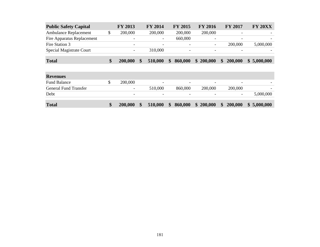| <b>Public Safety Capital</b> | <b>FY 2013</b>           | <b>FY 2014</b>           | <b>FY 2015</b>           | <b>FY 2016</b>           | <b>FY 2017</b>           | <b>FY 20XX</b> |
|------------------------------|--------------------------|--------------------------|--------------------------|--------------------------|--------------------------|----------------|
| Ambulance Replacement        | 200,000                  | 200,000                  | 200,000                  | 200,000                  | $\overline{\phantom{0}}$ |                |
| Fire Apparatus Replacement   | $\overline{\phantom{0}}$ | $\overline{\phantom{a}}$ | 660,000                  | $\overline{\phantom{0}}$ | $\overline{\phantom{0}}$ |                |
| Fire Station 3               | $\overline{\phantom{0}}$ | $\overline{\phantom{0}}$ | $\overline{\phantom{0}}$ | $\overline{\phantom{a}}$ | 200,000                  | 5,000,000      |
| Special Magistrate Court     |                          | 310,000                  | $\overline{\phantom{0}}$ | $\overline{\phantom{0}}$ |                          |                |
| <b>Total</b>                 | 200,000                  | 510,000                  | 860,000<br>$\mathbf{s}$  | \$200,000                | 200,000<br>$\mathbf{\$}$ | \$5,000,000    |

| <b>Revenues</b>              |                          |                          |                              |                          |                          |             |
|------------------------------|--------------------------|--------------------------|------------------------------|--------------------------|--------------------------|-------------|
| <b>Fund Balance</b>          | 200,000                  | $\overline{\phantom{0}}$ | $\overline{\phantom{0}}$     | $\overline{\phantom{0}}$ | $\overline{\phantom{0}}$ |             |
| <b>General Fund Transfer</b> | $\overline{\phantom{0}}$ | 510,000                  | 860,000                      | 200,000                  | 200,000                  |             |
| Debt                         | $\overline{\phantom{a}}$ | $\overline{\phantom{a}}$ | $\overline{\phantom{0}}$     | $\overline{\phantom{0}}$ | $\overline{\phantom{0}}$ | 5,000,000   |
|                              |                          |                          |                              |                          |                          |             |
| <b>Total</b>                 | 200,000                  | 510,000                  | 860,000<br>$\boldsymbol{\$}$ | \$200,000                | 200,000<br>$\frac{1}{2}$ | \$5,000,000 |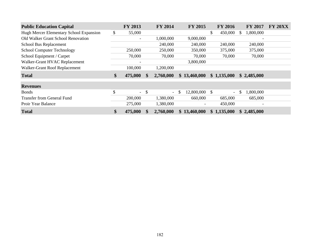| <b>Public Education Capital</b>         | FY 2013                  | <b>FY 2014</b>                 | <b>FY 2015</b>      | <b>FY 2016</b>           |          | <b>FY 2017</b>           | <b>FY 20XX</b> |
|-----------------------------------------|--------------------------|--------------------------------|---------------------|--------------------------|----------|--------------------------|----------------|
| Hugh Mercer Elementary School Expansion | \$<br>55,000             |                                |                     | \$<br>450,000            | <b>S</b> | 1,800,000                |                |
| Old Walker Grant School Renovation      | $\overline{\phantom{a}}$ | 1,000,000                      | 9,000,000           |                          |          | $\overline{\phantom{a}}$ |                |
| School Bus Replacement                  |                          | 240,000                        | 240,000             | 240,000                  |          | 240,000                  |                |
| <b>School Computer Technology</b>       | 250,000                  | 250,000                        | 350,000             | 375,000                  |          | 375,000                  |                |
| School Equipment / Carpet               | 70,000                   | 70,000                         | 70,000              | 70,000                   |          | 70,000                   |                |
| Walker-Grant HVAC Replacement           |                          |                                | 3,800,000           |                          |          |                          |                |
| Walker-Grant Roof Replacement           | 100,000                  | 1,200,000                      |                     |                          |          |                          |                |
| <b>Total</b>                            | \$<br>475,000            | \$<br>2,760,000                | \$13,460,000        | \$1,135,000              |          | \$2,485,000              |                |
| <b>Revenues</b>                         |                          |                                |                     |                          |          |                          |                |
| <b>Bonds</b>                            | \$<br>$\equiv$           | \$<br>$\overline{\phantom{a}}$ | \$<br>12,800,000 \$ | $\overline{\phantom{0}}$ | S        | 1,800,000                |                |
| Transfer from General Fund              | 200,000                  | 1,380,000                      | 660,000             | 685,000                  |          | 685,000                  |                |
| Proir Year Balance                      | 275,000                  | 1,380,000                      |                     | 450,000                  |          |                          |                |
| <b>Total</b>                            | \$<br>475,000            | 2,760,000                      | \$13,460,000        | \$1,135,000              |          | \$2,485,000              |                |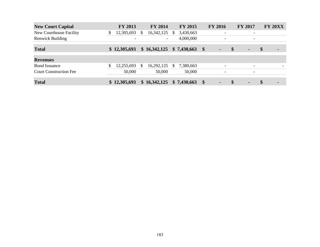| <b>New Court Capital</b>      | <b>FY 2013</b>   | <b>FY 2014</b>           | <b>FY 2015</b>  |                         | <b>FY 2016</b>           |               | <b>FY 2017</b>           | <b>FY 20XX</b>       |
|-------------------------------|------------------|--------------------------|-----------------|-------------------------|--------------------------|---------------|--------------------------|----------------------|
| New Courthouse Facility       | \$<br>12,305,693 | \$<br>16,342,125         | \$<br>3,430,663 |                         | $\overline{\phantom{0}}$ |               | $\overline{\phantom{0}}$ |                      |
| <b>Renwick Building</b>       |                  | $\overline{\phantom{a}}$ | 4,000,000       |                         | $\overline{\phantom{0}}$ |               | $\overline{\phantom{0}}$ |                      |
| <b>Total</b>                  | \$12,305,693     | \$16,342,125             | \$7,430,663     | $\sqrt[6]{\frac{1}{2}}$ | $\blacksquare$           | \$            | $\blacksquare$           | \$<br>$\blacksquare$ |
| <b>Revenues</b>               |                  |                          |                 |                         |                          |               |                          |                      |
| <b>Bond Issuance</b>          | \$<br>12,255,693 | \$<br>16,292,125         | \$<br>7,380,663 |                         | $\overline{\phantom{0}}$ |               | $\overline{\phantom{0}}$ |                      |
| <b>Court Construction Fee</b> | 50,000           | 50,000                   | 50,000          |                         | $\overline{\phantom{a}}$ |               | $\overline{\phantom{a}}$ |                      |
| <b>Total</b>                  | \$12,305,693     | \$16,342,125             | \$7,430,663     | $\sqrt[6]{\frac{1}{2}}$ |                          | $\mathbf{\$}$ | $\blacksquare$           | \$<br>۰              |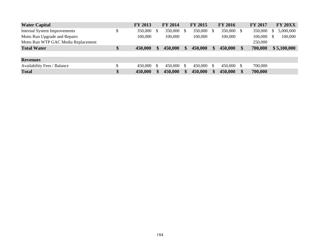| <b>Water Capital</b>                | <b>FY 2013</b> | <b>FY 2014</b> |     | <b>FY 2015</b> | <b>FY 2016</b> |   | <b>FY 2017</b> |    | <b>FY 20XX</b> |
|-------------------------------------|----------------|----------------|-----|----------------|----------------|---|----------------|----|----------------|
| <b>Internal System Improvements</b> | \$<br>350,000  | 350,000        | \$. | 350,000        | 350,000        | S | 350,000        |    | 5,000,000      |
| Motts Run Upgrade and Repairs       | 100,000        | 100,000        |     | 100,000        | 100,000        |   | 100,000        | -S | 100,000        |
| Motts Run WTP GAC Media Replacement |                |                |     |                |                |   | 250,000        |    |                |
| <b>Total Water</b>                  | \$<br>450,000  | 450,000        | \$  | 450,000        | 450,000        |   | 700,000        |    | \$5,100,000    |
|                                     |                |                |     |                |                |   |                |    |                |
| <b>Revenues</b>                     |                |                |     |                |                |   |                |    |                |
| <b>Availability Fees / Balance</b>  | 450,000        | 450,000        | S.  | 450,000        | 450,000        | S | 700,000        |    |                |
| <b>Total</b>                        | \$<br>450,000  | 450,000        |     | 450,000        | 450,000        |   | 700,000        |    |                |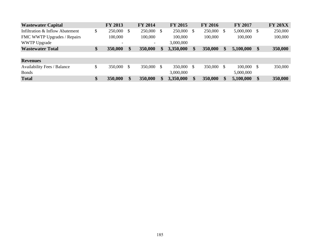| <b>Wastewater Capital</b>          | <b>FY 2013</b>           |     | <b>FY 2014</b>           |    | <b>FY 2015</b> |              | <b>FY 2016</b> |               | <b>FY 2017</b> |               | <b>FY 20XX</b> |
|------------------------------------|--------------------------|-----|--------------------------|----|----------------|--------------|----------------|---------------|----------------|---------------|----------------|
| Infiltration & Inflow Abatement    | \$<br>250,000            | \$. | 250,000 \$               |    | 250,000        | $\mathbb{S}$ | 250,000        | \$            | 5,000,000      | - \$          | 250,000        |
| FMC WWTP Upgrades / Repairs        | 100,000                  |     | 100,000                  |    | 100,000        |              | 100,000        |               | 100,000        |               | 100,000        |
| <b>WWTP Upgrade</b>                | $\overline{\phantom{a}}$ |     | $\overline{\phantom{0}}$ |    | 3,000,000      |              |                |               |                |               |                |
| <b>Wastewater Total</b>            | \$<br>350,000            | \$  | 350,000                  | S. | 3,350,000      | \$           | 350,000        | S             | 5,100,000      | $\mathbf{\$}$ | 350,000        |
|                                    |                          |     |                          |    |                |              |                |               |                |               |                |
| <b>Revenues</b>                    |                          |     |                          |    |                |              |                |               |                |               |                |
| <b>Availability Fees / Balance</b> | \$<br>350,000            |     | 350,000 \$               |    | 350,000        |              | 350,000        | <sup>\$</sup> | 100,000        | - \$          | 350,000        |
| <b>Bonds</b>                       |                          |     |                          |    | 3,000,000      |              |                |               | 5,000,000      |               |                |
| <b>Total</b>                       | \$<br>350,000            | \$  | 350,000                  |    | 3,350,000      | \$           | 350,000        | S             | 5,100,000      | $\mathbf{\$}$ | 350,000        |